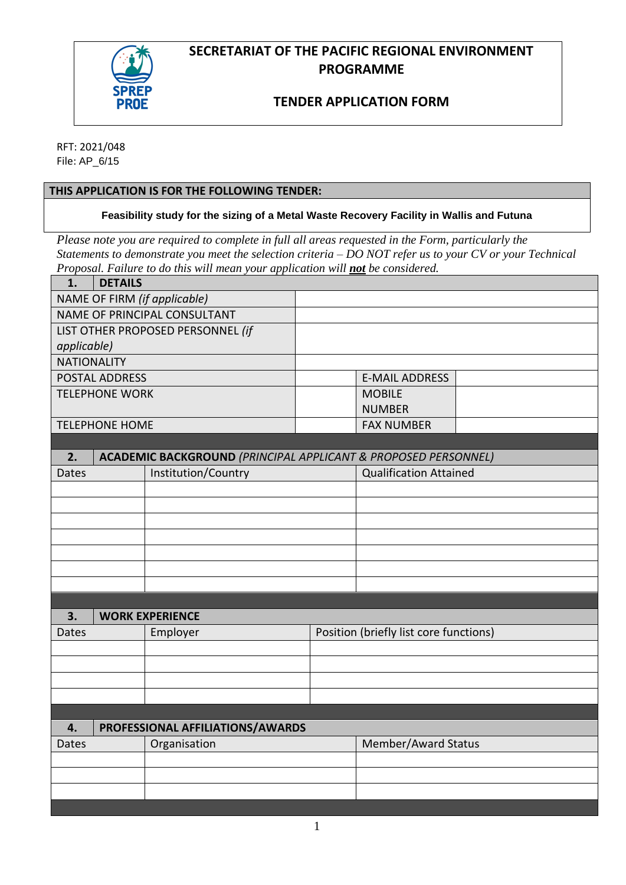

## **SECRETARIAT OF THE PACIFIC REGIONAL ENVIRONMENT PROGRAMME**

## **TENDER APPLICATION FORM**

RFT: 2021/048 File: AP\_6/15

### **THIS APPLICATION IS FOR THE FOLLOWING TENDER:**

**Feasibility study for the sizing of a Metal Waste Recovery Facility in Wallis and Futuna**

*Please note you are required to complete in full all areas requested in the Form, particularly the Statements to demonstrate you meet the selection criteria – DO NOT refer us to your CV or your Technical Proposal. Failure to do this will mean your application will not be considered.*

| 1.                                     | <b>DETAILS</b>                                                            |                        |                                        |                               |  |  |
|----------------------------------------|---------------------------------------------------------------------------|------------------------|----------------------------------------|-------------------------------|--|--|
| NAME OF FIRM (if applicable)           |                                                                           |                        |                                        |                               |  |  |
| NAME OF PRINCIPAL CONSULTANT           |                                                                           |                        |                                        |                               |  |  |
| LIST OTHER PROPOSED PERSONNEL (if      |                                                                           |                        |                                        |                               |  |  |
| applicable)                            |                                                                           |                        |                                        |                               |  |  |
| <b>NATIONALITY</b>                     |                                                                           |                        |                                        |                               |  |  |
| POSTAL ADDRESS                         |                                                                           |                        |                                        | <b>E-MAIL ADDRESS</b>         |  |  |
| <b>TELEPHONE WORK</b>                  |                                                                           | <b>MOBILE</b>          |                                        |                               |  |  |
|                                        |                                                                           |                        |                                        | <b>NUMBER</b>                 |  |  |
| <b>TELEPHONE HOME</b>                  |                                                                           |                        |                                        | <b>FAX NUMBER</b>             |  |  |
|                                        |                                                                           |                        |                                        |                               |  |  |
| 2.                                     | <b>ACADEMIC BACKGROUND (PRINCIPAL APPLICANT &amp; PROPOSED PERSONNEL)</b> |                        |                                        |                               |  |  |
| <b>Dates</b>                           |                                                                           | Institution/Country    |                                        | <b>Qualification Attained</b> |  |  |
|                                        |                                                                           |                        |                                        |                               |  |  |
|                                        |                                                                           |                        |                                        |                               |  |  |
|                                        |                                                                           |                        |                                        |                               |  |  |
|                                        |                                                                           |                        |                                        |                               |  |  |
|                                        |                                                                           |                        |                                        |                               |  |  |
|                                        |                                                                           |                        |                                        |                               |  |  |
|                                        |                                                                           |                        |                                        |                               |  |  |
|                                        |                                                                           |                        |                                        |                               |  |  |
| 3.                                     |                                                                           | <b>WORK EXPERIENCE</b> |                                        |                               |  |  |
| <b>Dates</b>                           |                                                                           | Employer               | Position (briefly list core functions) |                               |  |  |
|                                        |                                                                           |                        |                                        |                               |  |  |
|                                        |                                                                           |                        |                                        |                               |  |  |
|                                        |                                                                           |                        |                                        |                               |  |  |
|                                        |                                                                           |                        |                                        |                               |  |  |
| PROFESSIONAL AFFILIATIONS/AWARDS<br>4. |                                                                           |                        |                                        |                               |  |  |
| Dates                                  |                                                                           | Organisation           |                                        | Member/Award Status           |  |  |
|                                        |                                                                           |                        |                                        |                               |  |  |
|                                        |                                                                           |                        |                                        |                               |  |  |
|                                        |                                                                           |                        |                                        |                               |  |  |
|                                        |                                                                           |                        |                                        |                               |  |  |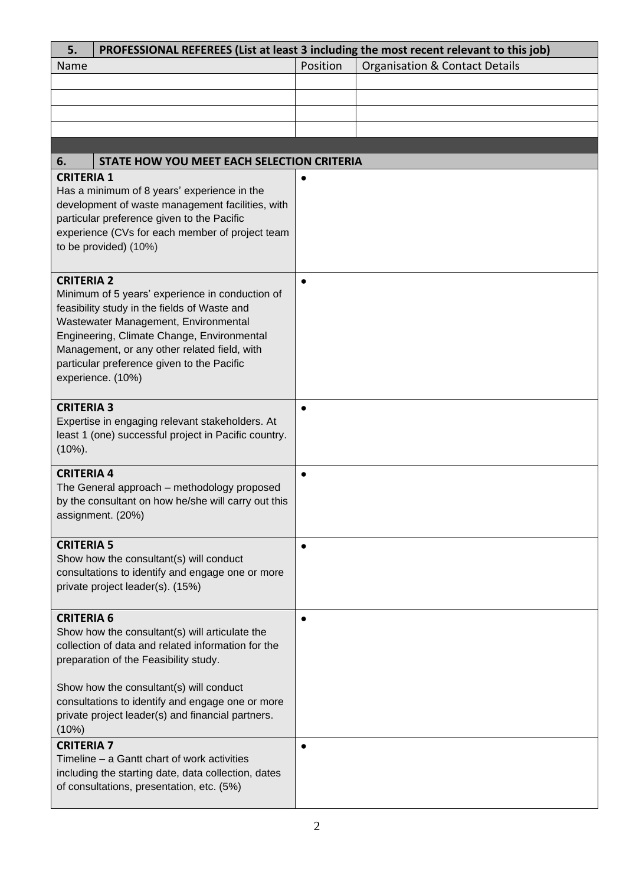| 5.                                                                                                                                                                                                                                             | PROFESSIONAL REFEREES (List at least 3 including the most recent relevant to this job)                                                                                                                                                                                                                   |           |                                           |  |  |  |  |
|------------------------------------------------------------------------------------------------------------------------------------------------------------------------------------------------------------------------------------------------|----------------------------------------------------------------------------------------------------------------------------------------------------------------------------------------------------------------------------------------------------------------------------------------------------------|-----------|-------------------------------------------|--|--|--|--|
| Name                                                                                                                                                                                                                                           |                                                                                                                                                                                                                                                                                                          | Position  | <b>Organisation &amp; Contact Details</b> |  |  |  |  |
|                                                                                                                                                                                                                                                |                                                                                                                                                                                                                                                                                                          |           |                                           |  |  |  |  |
|                                                                                                                                                                                                                                                |                                                                                                                                                                                                                                                                                                          |           |                                           |  |  |  |  |
|                                                                                                                                                                                                                                                |                                                                                                                                                                                                                                                                                                          |           |                                           |  |  |  |  |
|                                                                                                                                                                                                                                                |                                                                                                                                                                                                                                                                                                          |           |                                           |  |  |  |  |
|                                                                                                                                                                                                                                                |                                                                                                                                                                                                                                                                                                          |           |                                           |  |  |  |  |
| 6.                                                                                                                                                                                                                                             | STATE HOW YOU MEET EACH SELECTION CRITERIA                                                                                                                                                                                                                                                               |           |                                           |  |  |  |  |
| <b>CRITERIA 1</b><br>Has a minimum of 8 years' experience in the<br>development of waste management facilities, with<br>particular preference given to the Pacific<br>experience (CVs for each member of project team<br>to be provided) (10%) |                                                                                                                                                                                                                                                                                                          |           |                                           |  |  |  |  |
| <b>CRITERIA 2</b>                                                                                                                                                                                                                              | Minimum of 5 years' experience in conduction of<br>feasibility study in the fields of Waste and<br>Wastewater Management, Environmental<br>Engineering, Climate Change, Environmental<br>Management, or any other related field, with<br>particular preference given to the Pacific<br>experience. (10%) | $\bullet$ |                                           |  |  |  |  |
| <b>CRITERIA 3</b><br>$(10\%)$ .                                                                                                                                                                                                                | Expertise in engaging relevant stakeholders. At<br>least 1 (one) successful project in Pacific country.                                                                                                                                                                                                  | $\bullet$ |                                           |  |  |  |  |
| <b>CRITERIA 4</b><br>The General approach - methodology proposed<br>by the consultant on how he/she will carry out this<br>assignment. (20%)                                                                                                   |                                                                                                                                                                                                                                                                                                          | $\bullet$ |                                           |  |  |  |  |
| <b>CRITERIA 5</b>                                                                                                                                                                                                                              | Show how the consultant(s) will conduct<br>consultations to identify and engage one or more<br>private project leader(s). (15%)                                                                                                                                                                          | $\bullet$ |                                           |  |  |  |  |
| <b>CRITERIA 6</b>                                                                                                                                                                                                                              | Show how the consultant(s) will articulate the<br>collection of data and related information for the<br>preparation of the Feasibility study.<br>Show how the consultant(s) will conduct<br>consultations to identify and engage one or more<br>private project leader(s) and financial partners.        | $\bullet$ |                                           |  |  |  |  |
| (10%)<br><b>CRITERIA 7</b>                                                                                                                                                                                                                     | Timeline – a Gantt chart of work activities<br>including the starting date, data collection, dates<br>of consultations, presentation, etc. (5%)                                                                                                                                                          | $\bullet$ |                                           |  |  |  |  |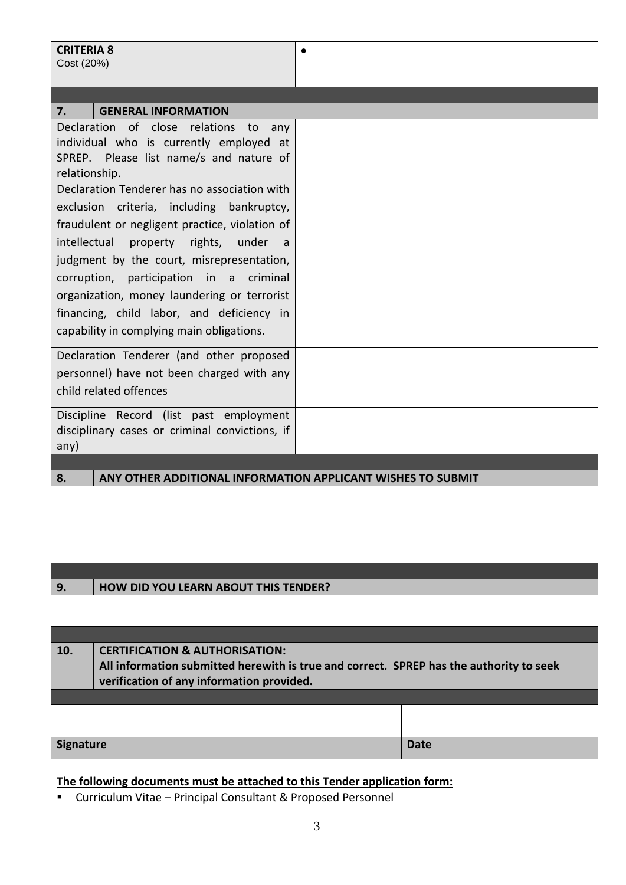| <b>CRITERIA 8</b><br>Cost (20%)                                                                                                                                                                                                                                                                                                  | $\bullet$                                                                                                                            |             |  |  |  |  |
|----------------------------------------------------------------------------------------------------------------------------------------------------------------------------------------------------------------------------------------------------------------------------------------------------------------------------------|--------------------------------------------------------------------------------------------------------------------------------------|-------------|--|--|--|--|
| 7.<br><b>GENERAL INFORMATION</b>                                                                                                                                                                                                                                                                                                 |                                                                                                                                      |             |  |  |  |  |
| Declaration of close relations to<br>any<br>individual who is currently employed at<br>SPREP. Please list name/s and nature of<br>relationship.<br>Declaration Tenderer has no association with                                                                                                                                  |                                                                                                                                      |             |  |  |  |  |
| exclusion criteria, including bankruptcy,<br>fraudulent or negligent practice, violation of<br>property rights, under<br>intellectual<br>a -<br>judgment by the court, misrepresentation,<br>corruption, participation in a criminal<br>organization, money laundering or terrorist<br>financing, child labor, and deficiency in |                                                                                                                                      |             |  |  |  |  |
| capability in complying main obligations.                                                                                                                                                                                                                                                                                        |                                                                                                                                      |             |  |  |  |  |
| Declaration Tenderer (and other proposed<br>personnel) have not been charged with any<br>child related offences                                                                                                                                                                                                                  |                                                                                                                                      |             |  |  |  |  |
| Discipline Record (list past employment<br>disciplinary cases or criminal convictions, if<br>any)                                                                                                                                                                                                                                |                                                                                                                                      |             |  |  |  |  |
| ANY OTHER ADDITIONAL INFORMATION APPLICANT WISHES TO SUBMIT<br>8.                                                                                                                                                                                                                                                                |                                                                                                                                      |             |  |  |  |  |
|                                                                                                                                                                                                                                                                                                                                  |                                                                                                                                      |             |  |  |  |  |
| <b>HOW DID YOU LEARN ABOUT THIS TENDER?</b>                                                                                                                                                                                                                                                                                      |                                                                                                                                      |             |  |  |  |  |
| 9.                                                                                                                                                                                                                                                                                                                               |                                                                                                                                      |             |  |  |  |  |
| 10.<br><b>CERTIFICATION &amp; AUTHORISATION:</b>                                                                                                                                                                                                                                                                                 | All information submitted herewith is true and correct. SPREP has the authority to seek<br>verification of any information provided. |             |  |  |  |  |
|                                                                                                                                                                                                                                                                                                                                  |                                                                                                                                      |             |  |  |  |  |
| <b>Signature</b>                                                                                                                                                                                                                                                                                                                 |                                                                                                                                      | <b>Date</b> |  |  |  |  |

# **The following documents must be attached to this Tender application form:**

▪ Curriculum Vitae – Principal Consultant & Proposed Personnel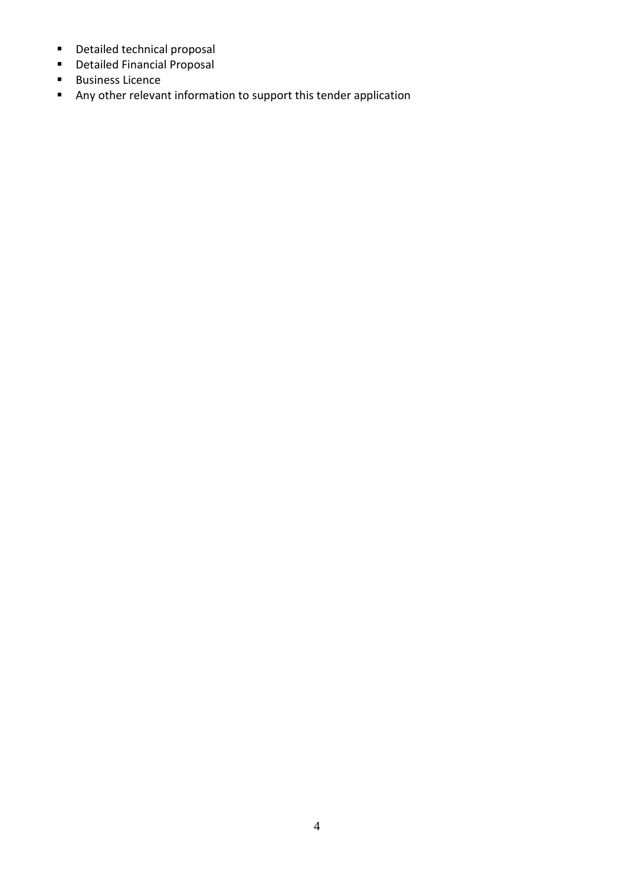- Detailed technical proposal
- Detailed Financial Proposal
- Business Licence
- Any other relevant information to support this tender application